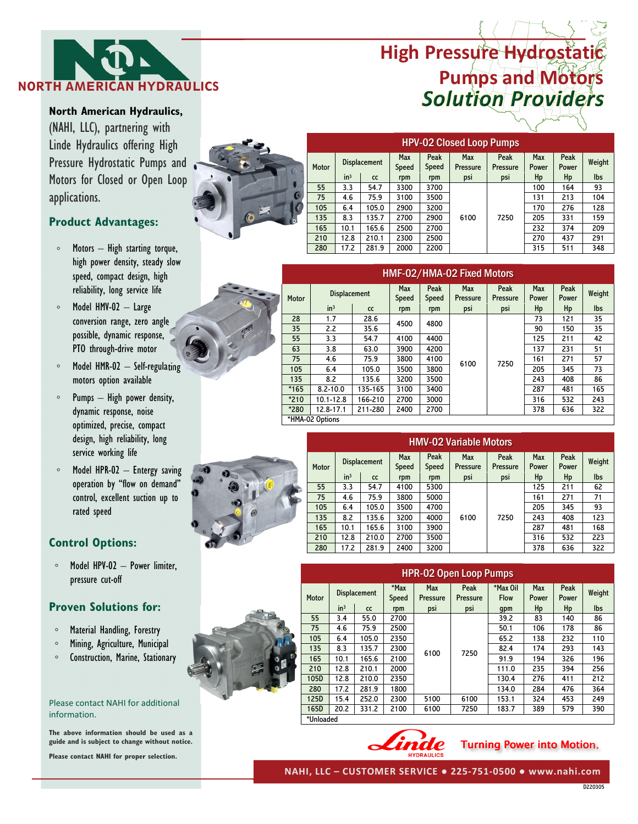# *Solution Providers* **NORTH AMERICAN HYDRAULICS High Pressure Hydrostatic Pumps and Motors**



**North American Hydraulics,**  (NAHI, LLC), partnering with Linde Hydraulics offering High Pressure Hydrostatic Pumps and Motors for Closed or Open Loop applications.

## **Product Advantages:**

- Motors High starting torque, high power density, steady slow speed, compact design, high reliability, long service life
- Model HMV-02 Large conversion range, zero angle possible, dynamic response, PTO through-drive motor
- Model HMR-02 Self-regulating motors option available
- Pumps High power density, dynamic response, noise optimized, precise, compact design, high reliability, long service working life
- Model HPR-02 Entergy saving operation by "flow on demand" control, excellent suction up to rated speed

## **Control Options:**

◦ Model HPV-02 – Power limiter, pressure cut-off

## **Proven Solutions for:**

- Material Handling, Forestry
- Mining, Agriculture, Municipal
- Construction, Marine, Stationary

#### Please contact NAHI for additional information.

**The above information should be used as a guide and is subject to change without notice.** 

**Please contact NAHI for proper selection.** 



| $\circ$   | <b>HPV-02 Closed Loop Pumps</b> |                     |       |                     |               |                        |                  |              |               |        |  |  |  |
|-----------|---------------------------------|---------------------|-------|---------------------|---------------|------------------------|------------------|--------------|---------------|--------|--|--|--|
|           | Motor                           | <b>Displacement</b> |       | <b>Max</b><br>Speed | Peak<br>Speed | Max<br><b>Pressure</b> | Peak<br>Pressure | Max<br>Power | Peak<br>Power | Weight |  |  |  |
|           |                                 | in <sup>3</sup>     | CC    | rpm                 | rpm           | psi                    | psi              | Hp           | Hp            | lbs    |  |  |  |
|           | 55                              | 3.3                 | 54.7  | 3300                | 3700          |                        |                  | 100          | 164           | 93     |  |  |  |
| $\bullet$ | 75                              | 4.6                 | 75.9  | 3100                | 3500          |                        |                  | 131          | 213           | 104    |  |  |  |
|           | 105                             | 6.4                 | 105.0 | 2900                | 3200          |                        |                  | 170          | 276           | 128    |  |  |  |
|           | 135                             | 8.3                 | 135.7 | 2700                | 2900          | 6100                   | 7250             | 205          | 331           | 159    |  |  |  |
|           | 165                             | 10.1                | 165.6 | 2500                | 2700          |                        |                  | 232          | 374           | 209    |  |  |  |
|           | 210                             | 12.8                | 210.1 | 2300                | 2500          |                        |                  | 270          | 437           | 291    |  |  |  |
|           | 280                             | 17.2                | 281.9 | 2000                | 2200          |                        |                  | 315          | 511           | 348    |  |  |  |
|           |                                 |                     |       |                     |               |                        |                  |              |               |        |  |  |  |

| ų, | HMF-02/HMA-02 Fixed Motors |                     |         |                     |               |                        |                  |                     |               |        |  |  |  |
|----|----------------------------|---------------------|---------|---------------------|---------------|------------------------|------------------|---------------------|---------------|--------|--|--|--|
|    | <b>Motor</b>               | <b>Displacement</b> |         | <b>Max</b><br>Speed | Peak<br>Speed | Max<br><b>Pressure</b> | Peak<br>Pressure | <b>Max</b><br>Power | Peak<br>Power | Weight |  |  |  |
|    |                            | in <sup>3</sup>     | cc      | rpm                 | rpm           | psi                    | psi              | Hp                  | Hp            | lbs    |  |  |  |
|    | 28                         | 1.7                 | 28.6    | 4500                | 4800          |                        | 7250             | 73                  | 121           | 35     |  |  |  |
|    | 35                         | 2.2                 | 35.6    |                     |               |                        |                  | 90                  | 150           | 35     |  |  |  |
|    | 55                         | 3.3                 | 54.7    | 4100                | 4400          |                        |                  | 125                 | 211           | 42     |  |  |  |
|    | 63                         | 3.8                 | 63.0    | 3900                | 4200          |                        |                  | 137                 | 231           | 51     |  |  |  |
|    | 75                         | 4.6                 | 75.9    | 3800                | 4100          | 6100                   |                  | 161                 | 271           | 57     |  |  |  |
|    | 105                        | 6.4                 | 105.0   | 3500                | 3800          |                        |                  | 205                 | 345           | 73     |  |  |  |
|    | 135                        | 8.2                 | 135.6   | 3200                | 3500          |                        |                  | 243                 | 408           | 86     |  |  |  |
|    | $*165$                     | $8.2 - 10.0$        | 135-165 | 3100                | 3400          |                        |                  | 287                 | 481           | 165    |  |  |  |
|    | $*210$                     | $10.1 - 12.8$       | 166-210 | 2700                | 3000          |                        |                  | 316                 | 532           | 243    |  |  |  |
|    | *280                       | $12.8 - 17.1$       | 211-280 | 2400                | 2700          |                        |                  | 378                 | 636           | 322    |  |  |  |
|    | *HMA-02 Options            |                     |         |                     |               |                        |                  |                     |               |        |  |  |  |



|  | <b>HMV-02 Variable Motors</b> |                     |       |                     |               |                        |                         |              |               |            |  |  |  |
|--|-------------------------------|---------------------|-------|---------------------|---------------|------------------------|-------------------------|--------------|---------------|------------|--|--|--|
|  | Motor                         | <b>Displacement</b> |       | <b>Max</b><br>Speed | Peak<br>Speed | Max<br><b>Pressure</b> | Peak<br><b>Pressure</b> | Max<br>Power | Peak<br>Power | Weight     |  |  |  |
|  |                               | in <sup>3</sup>     | CC    | rpm                 | rpm           | psi                    | psi                     | Hp           | Hp            | <b>lbs</b> |  |  |  |
|  | 55                            | 3.3                 | 54.7  | 4100                | 5300          |                        |                         | 125          | 211           | 62         |  |  |  |
|  | 75                            | 75.9<br>4.6         | 3800  | 5000                |               |                        | 161                     | 271          | 71            |            |  |  |  |
|  | 105                           | 6.4                 | 105.0 | 3500                | 4700          |                        | 7250                    | 205          | 345           | 93         |  |  |  |
|  | 135                           | 8.2                 | 135.6 | 3200                | 4000          | 6100                   |                         | 243          | 408           | 123        |  |  |  |
|  | 165                           | 10.1                | 165.6 | 3100                | 3900          |                        |                         | 287          | 481           | 168        |  |  |  |
|  | 210                           | 12.8                | 210.0 | 2700                | 3500          |                        |                         | 316          | 532           | 223        |  |  |  |
|  | 280                           | 17.2                | 281.9 | 2400                | 3200          |                        |                         | 378          | 636           | 322        |  |  |  |



|              | <b>HPR-02 Open Loop Pumps</b> |                 |                     |                  |                               |                  |                         |              |               |        |  |  |  |
|--------------|-------------------------------|-----------------|---------------------|------------------|-------------------------------|------------------|-------------------------|--------------|---------------|--------|--|--|--|
|              | Motor                         |                 | <b>Displacement</b> | $*$ Max<br>Speed | <b>Max</b><br><b>Pressure</b> | Peak<br>Pressure | *Max Oil<br><b>Flow</b> | Max<br>Power | Peak<br>Power | Weight |  |  |  |
|              |                               | in <sup>3</sup> | CC                  | rpm              | psi                           | psi              | gpm                     | Hp           | Hp            | lbs    |  |  |  |
|              | 55                            | 3.4             | 55.0                | 2700             |                               | 7250             | 39.2                    | 83           | 140           | 86     |  |  |  |
|              | 75                            | 4.6             | 75.9                | 2500             | 6100                          |                  | 50.1                    | 106          | 178           | 86     |  |  |  |
|              | 105                           | 6.4             | 105.0               | 2350             |                               |                  | 65.2                    | 138          | 232           | 110    |  |  |  |
|              | 135                           | 8.3             | 135.7               | 2300             |                               |                  | 82.4                    | 174          | 293           | 143    |  |  |  |
| $\mathbf{e}$ | 165                           | 10.1            | 165.6               | 2100             |                               |                  | 91.9                    | 194          | 326           | 196    |  |  |  |
|              | 210                           | 12.8            | 210.1               | 2000             |                               |                  | 111.0                   | 235          | 394           | 256    |  |  |  |
|              | 105D                          | 12.8            | 210.0               | 2350             |                               |                  | 130.4                   | 276          | 411           | 212    |  |  |  |
|              | 280                           | 17.2            | 281.9               | 1800             |                               |                  | 134.0                   | 284          | 476           | 364    |  |  |  |
|              | 125D                          | 15.4            | 252.0               | 2300             | 5100                          | 6100             | 153.1                   | 324          | 453           | 249    |  |  |  |
|              | 165D                          | 20.2            | 331.2               | 2100             | 6100                          | 7250             | 183.7                   | 389          | 579           | 390    |  |  |  |
|              | *Unloaded                     |                 |                     |                  |                               |                  |                         |              |               |        |  |  |  |



## Turning Power into Motion.

**NAHI, LLC – CUSTOMER SERVICE ● 225-751-0500 ● www.nahi.com**